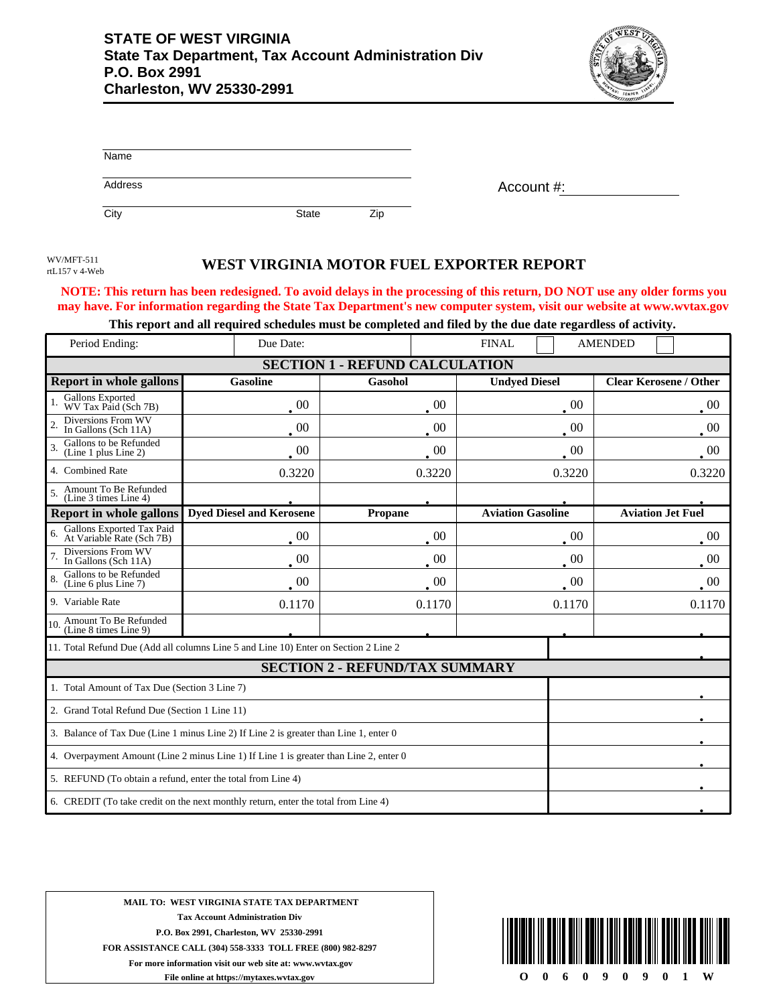

| Name    |       |      |            |
|---------|-------|------|------------|
| Address |       |      | Account #: |
| City    | State | Zip. |            |

rtL157 v 4-Web

## WEST VIRGINIA MOTOR FUEL EXPORTER REPORT

**NOTE: This return has been redesigned. To avoid delays in the processing of this return, DO NOT use any older forms you may have. For information regarding the State Tax Department's new computer system, visit our website at www.wvtax.gov**

|  | This report and all required schedules must be completed and filed by the due date regardless of activity. |
|--|------------------------------------------------------------------------------------------------------------|
|  |                                                                                                            |

| Period Ending:                                                                        | Due Date:                                                                           |                                       | <b>FINAL</b>             | <b>AMENDED</b>                |  |
|---------------------------------------------------------------------------------------|-------------------------------------------------------------------------------------|---------------------------------------|--------------------------|-------------------------------|--|
|                                                                                       | <b>SECTION 1 - REFUND CALCULATION</b>                                               |                                       |                          |                               |  |
| <b>Report in whole gallons</b>                                                        | <b>Gasoline</b>                                                                     | Gasohol                               | <b>Undyed Diesel</b>     | <b>Clear Kerosene / Other</b> |  |
| Gallons Exported<br>WV Tax Paid (Sch 7B)                                              | 00                                                                                  | 00                                    | 00                       | 00                            |  |
| Diversions From WV<br>In Gallons (Sch 11A)                                            | $00\,$                                                                              | $00\,$                                | $00\,$                   | 00                            |  |
| Gallons to be Refunded<br>$\overline{\mathcal{L}}$<br>(Line 1 plus Line 2)            | $00\,$                                                                              | $00\,$                                | 00                       | $00\,$                        |  |
| 4. Combined Rate                                                                      | 0.3220                                                                              | 0.3220                                | 0.3220                   | 0.3220                        |  |
| Amount To Be Refunded<br>(Line 3 times Line 4)                                        |                                                                                     |                                       |                          |                               |  |
| <b>Report in whole gallons</b>                                                        | <b>Dyed Diesel and Kerosene</b>                                                     | Propane                               | <b>Aviation Gasoline</b> | <b>Aviation Jet Fuel</b>      |  |
| Gallons Exported Tax Paid<br>At Variable Rate (Sch 7B)                                | $00\,$                                                                              | $00\,$                                | 00                       | $00\,$                        |  |
| Diversions From WV<br>In Gallons (Sch 11A)                                            | 00                                                                                  | $00\,$                                | 00                       | 00                            |  |
| Gallons to be Refunded<br>(Line 6 plus Line 7)                                        | $\overline{00}$                                                                     | $00\,$                                | 00                       | $00\,$                        |  |
| 9. Variable Rate                                                                      | 0.1170                                                                              | 0.1170                                | 0.1170                   | 0.1170                        |  |
| Amount To Be Refunded<br>10.<br>(Line 8 times Line 9)                                 |                                                                                     |                                       |                          |                               |  |
|                                                                                       | 11. Total Refund Due (Add all columns Line 5 and Line 10) Enter on Section 2 Line 2 |                                       |                          |                               |  |
|                                                                                       |                                                                                     | <b>SECTION 2 - REFUND/TAX SUMMARY</b> |                          |                               |  |
| 1. Total Amount of Tax Due (Section 3 Line 7)                                         |                                                                                     |                                       |                          |                               |  |
| 2. Grand Total Refund Due (Section 1 Line 11)                                         |                                                                                     |                                       |                          |                               |  |
| 3. Balance of Tax Due (Line 1 minus Line 2) If Line 2 is greater than Line 1, enter 0 |                                                                                     |                                       |                          |                               |  |
| 4. Overpayment Amount (Line 2 minus Line 1) If Line 1 is greater than Line 2, enter 0 |                                                                                     |                                       |                          |                               |  |
| 5. REFUND (To obtain a refund, enter the total from Line 4)                           |                                                                                     |                                       |                          |                               |  |
| 6. CREDIT (To take credit on the next monthly return, enter the total from Line 4)    |                                                                                     |                                       |                          |                               |  |

**MAIL TO: WEST VIRGINIA STATE TAX DEPARTMENT Tax Account Administration Div P.O. Box 2991, Charleston, WV 25330-2991 FOR ASSISTANCE CALL (304) 558-3333 TOLL FREE (800) 982-8297 For more information visit our web site at: www.wvtax.gov File online at https://mytaxes.wvtax.gov**